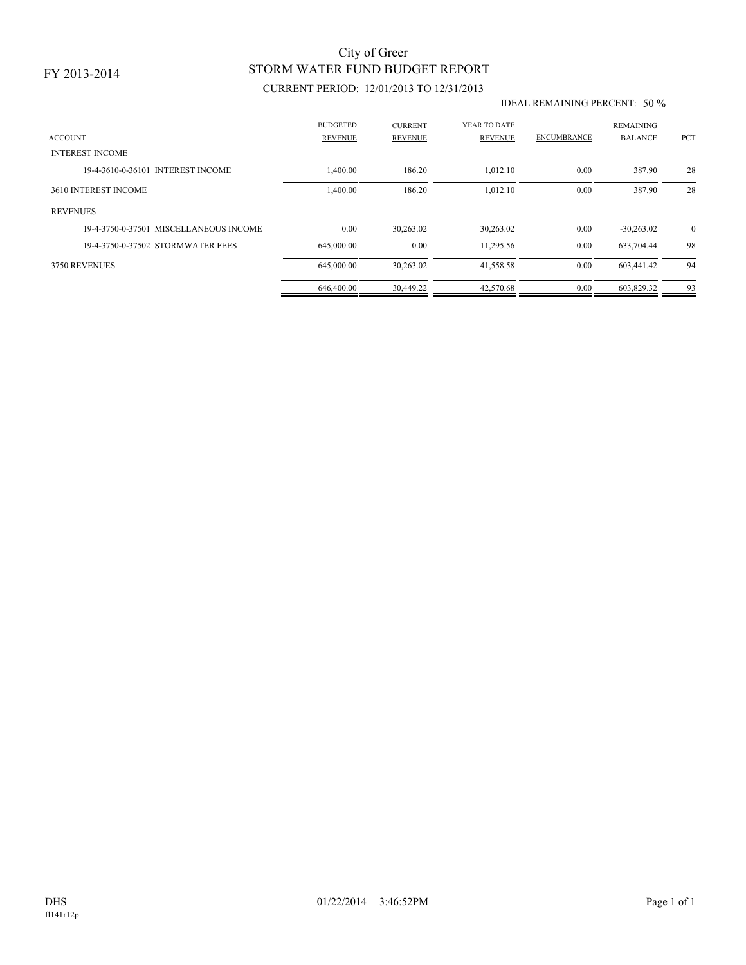# STORM WATER FUND BUDGET REPORT City of Greer

## CURRENT PERIOD: 12/01/2013 TO 12/31/2013

#### IDEAL REMAINING PERCENT: 50 %

| <b>ACCOUNT</b>                         | <b>BUDGETED</b><br><b>REVENUE</b> | <b>CURRENT</b><br><b>REVENUE</b> | YEAR TO DATE<br><b>REVENUE</b> | <b>ENCUMBRANCE</b> | <b>REMAINING</b><br><b>BALANCE</b> | <b>PCT</b>   |
|----------------------------------------|-----------------------------------|----------------------------------|--------------------------------|--------------------|------------------------------------|--------------|
| <b>INTEREST INCOME</b>                 |                                   |                                  |                                |                    |                                    |              |
| 19-4-3610-0-36101 INTEREST INCOME      | 1,400.00                          | 186.20                           | 1,012.10                       | 0.00               | 387.90                             | 28           |
| 3610 INTEREST INCOME                   | 1,400.00                          | 186.20                           | 1,012.10                       | 0.00               | 387.90                             | 28           |
| <b>REVENUES</b>                        |                                   |                                  |                                |                    |                                    |              |
| 19-4-3750-0-37501 MISCELLANEOUS INCOME | 0.00                              | 30,263.02                        | 30,263.02                      | 0.00               | $-30,263.02$                       | $\mathbf{0}$ |
| 19-4-3750-0-37502 STORMWATER FEES      | 645,000.00                        | 0.00                             | 11,295.56                      | 0.00               | 633,704.44                         | 98           |
| 3750 REVENUES                          | 645,000.00                        | 30,263.02                        | 41,558.58                      | 0.00               | 603,441.42                         | 94           |
|                                        | 646,400.00                        | 30.449.22                        | 42,570.68                      | 0.00               | 603,829.32                         | 93           |